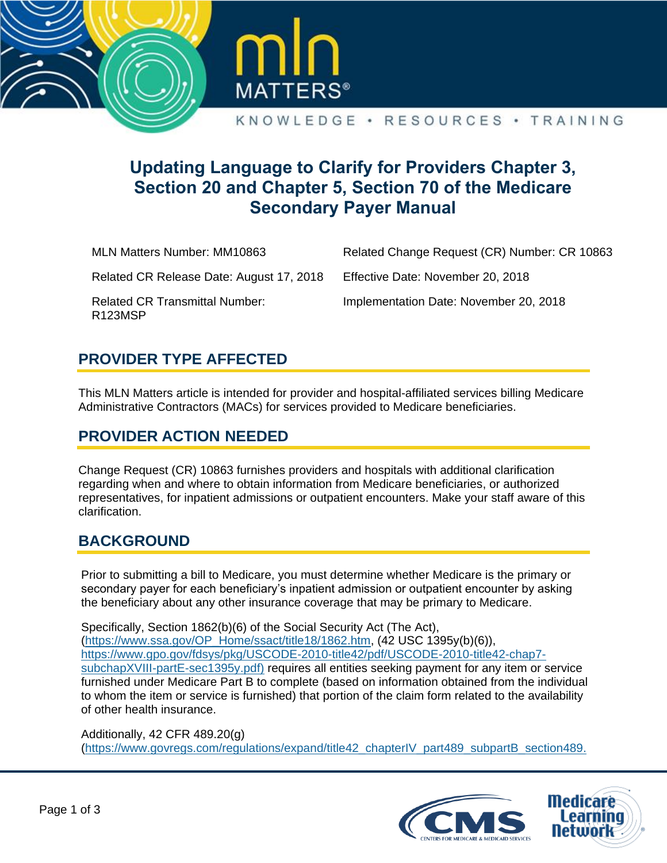



#### KNOWLEDGE · RESOURCES · TRAINING

# **Updating Language to Clarify for Providers Chapter 3, Section 20 and Chapter 5, Section 70 of the Medicare Secondary Payer Manual**

MLN Matters Number: MM10863 Related CR Release Date: August 17, 2018 Related CR Transmittal Number: R123MSP Related Change Request (CR) Number: CR 10863 Effective Date: November 20, 2018 Implementation Date: November 20, 2018

#### **PROVIDER TYPE AFFECTED**

This MLN Matters article is intended for provider and hospital-affiliated services billing Medicare Administrative Contractors (MACs) for services provided to Medicare beneficiaries.

## **PROVIDER ACTION NEEDED**

Change Request (CR) 10863 furnishes providers and hospitals with additional clarification regarding when and where to obtain information from Medicare beneficiaries, or authorized representatives, for inpatient admissions or outpatient encounters. Make your staff aware of this clarification.

#### **BACKGROUND**

Prior to submitting a bill to Medicare, you must determine whether Medicare is the primary or secondary payer for each beneficiary's inpatient admission or outpatient encounter by asking the beneficiary about any other insurance coverage that may be primary to Medicare.

Specifically, Section 1862(b)(6) of the Social Security Act (The Act), [\(https://www.ssa.gov/OP\\_Home/ssact/title18/1862.htm,](https://www.ssa.gov/OP_Home/ssact/title18/1862.htm) (42 USC 1395y(b)(6)), [https://www.gpo.gov/fdsys/pkg/USCODE-2010-title42/pdf/USCODE-2010-title42-chap7](https://www.gpo.gov/fdsys/pkg/USCODE-2010-title42/pdf/USCODE-2010-title42-chap7-subchapXVIII-partE-sec1395y.pdf) [subchapXVIII-partE-sec1395y.pdf\)](https://www.gpo.gov/fdsys/pkg/USCODE-2010-title42/pdf/USCODE-2010-title42-chap7-subchapXVIII-partE-sec1395y.pdf) requires all entities seeking payment for any item or service furnished under Medicare Part B to complete (based on information obtained from the individual to whom the item or service is furnished) that portion of the claim form related to the availability of other health insurance.

#### Additionally, 42 CFR 489.20(g)

[\(https://www.govregs.com/regulations/expand/title42\\_chapterIV\\_part489\\_subpartB\\_section489.](https://www.govregs.com/regulations/expand/title42_chapterIV_part489_subpartB_section489.20#title42_chapterIV_part489_subpartB_section489.20)

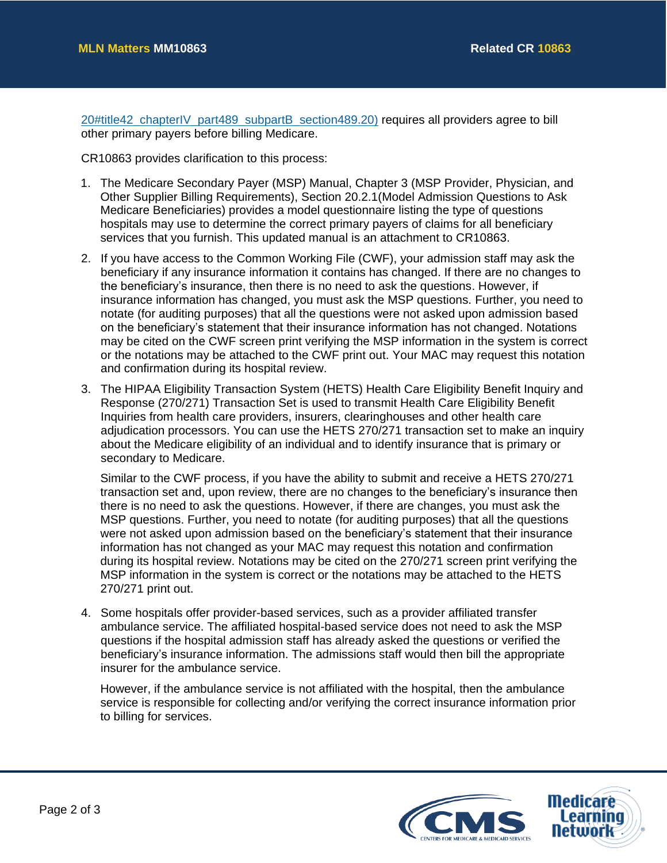[20#title42\\_chapterIV\\_part489\\_subpartB\\_section489.20\)](https://www.govregs.com/regulations/expand/title42_chapterIV_part489_subpartB_section489.20#title42_chapterIV_part489_subpartB_section489.20) requires all providers agree to bill other primary payers before billing Medicare.

CR10863 provides clarification to this process:

- 1. The Medicare Secondary Payer (MSP) Manual, Chapter 3 (MSP Provider, Physician, and Other Supplier Billing Requirements), Section 20.2.1(Model Admission Questions to Ask Medicare Beneficiaries) provides a model questionnaire listing the type of questions hospitals may use to determine the correct primary payers of claims for all beneficiary services that you furnish. This updated manual is an attachment to CR10863.
- 2. If you have access to the Common Working File (CWF), your admission staff may ask the beneficiary if any insurance information it contains has changed. If there are no changes to the beneficiary's insurance, then there is no need to ask the questions. However, if insurance information has changed, you must ask the MSP questions. Further, you need to notate (for auditing purposes) that all the questions were not asked upon admission based on the beneficiary's statement that their insurance information has not changed. Notations may be cited on the CWF screen print verifying the MSP information in the system is correct or the notations may be attached to the CWF print out. Your MAC may request this notation and confirmation during its hospital review.
- 3. The HIPAA Eligibility Transaction System (HETS) Health Care Eligibility Benefit Inquiry and Response (270/271) Transaction Set is used to transmit Health Care Eligibility Benefit Inquiries from health care providers, insurers, clearinghouses and other health care adjudication processors. You can use the HETS 270/271 transaction set to make an inquiry about the Medicare eligibility of an individual and to identify insurance that is primary or secondary to Medicare.

Similar to the CWF process, if you have the ability to submit and receive a HETS 270/271 transaction set and, upon review, there are no changes to the beneficiary's insurance then there is no need to ask the questions. However, if there are changes, you must ask the MSP questions. Further, you need to notate (for auditing purposes) that all the questions were not asked upon admission based on the beneficiary's statement that their insurance information has not changed as your MAC may request this notation and confirmation during its hospital review. Notations may be cited on the 270/271 screen print verifying the MSP information in the system is correct or the notations may be attached to the HETS 270/271 print out.

4. Some hospitals offer provider-based services, such as a provider affiliated transfer ambulance service. The affiliated hospital-based service does not need to ask the MSP questions if the hospital admission staff has already asked the questions or verified the beneficiary's insurance information. The admissions staff would then bill the appropriate insurer for the ambulance service.

However, if the ambulance service is not affiliated with the hospital, then the ambulance service is responsible for collecting and/or verifying the correct insurance information prior to billing for services.